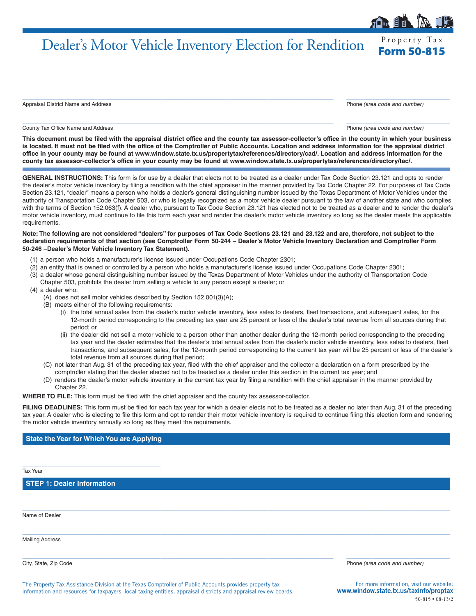## Dealer's Motor Vehicle Inventory Election for Rendition Form 50-815

Appraisal District Name and Address Phone *(area code and number)*

County Tax Office Name and Address **Phone** *(area code and number)* Phone *(area code and number)* 

 $\_$  ,  $\_$  ,  $\_$  ,  $\_$  ,  $\_$  ,  $\_$  ,  $\_$  ,  $\_$  ,  $\_$  ,  $\_$  ,  $\_$  ,  $\_$  ,  $\_$  ,  $\_$  ,  $\_$  ,  $\_$  ,  $\_$  ,  $\_$  ,  $\_$  ,  $\_$  ,  $\_$  ,  $\_$  ,  $\_$  ,  $\_$  ,  $\_$  ,  $\_$  ,  $\_$  ,  $\_$  ,  $\_$  ,  $\_$  ,  $\_$  ,  $\_$  ,  $\_$  ,  $\_$  ,  $\_$  ,  $\_$  ,  $\_$  ,

**This document must be filed with the appraisal district office and the county tax assessor-collector's office in the county in which your business is located. It must not be filed with the office of the Comptroller of Public Accounts. Location and address information for the appraisal district office in your county may be found at www.window.state.tx.us/propertytax/references/directory/cad/. Location and address information for the county tax assessor-collector's office in your county may be found at www.window.state.tx.us/propertytax/references/directory/tac/.**

 $\_$  ,  $\_$  ,  $\_$  ,  $\_$  ,  $\_$  ,  $\_$  ,  $\_$  ,  $\_$  ,  $\_$  ,  $\_$  ,  $\_$  ,  $\_$  ,  $\_$  ,  $\_$  ,  $\_$  ,  $\_$  ,  $\_$  ,  $\_$  ,  $\_$  ,  $\_$  ,  $\_$  ,  $\_$  ,  $\_$  ,  $\_$  ,  $\_$  ,  $\_$  ,  $\_$  ,  $\_$  ,  $\_$  ,  $\_$  ,  $\_$  ,  $\_$  ,  $\_$  ,  $\_$  ,  $\_$  ,  $\_$  ,  $\_$  ,

**GENERAL INSTRUCTIONS:** This form is for use by a dealer that elects not to be treated as a dealer under Tax Code Section 23.121 and opts to render the dealer's motor vehicle inventory by filing a rendition with the chief appraiser in the manner provided by Tax Code Chapter 22. For purposes of Tax Code Section 23.121, "dealer" means a person who holds a dealer's general distinguishing number issued by the Texas Department of Motor Vehicles under the authority of Transportation Code Chapter 503, or who is legally recognized as a motor vehicle dealer pursuant to the law of another state and who complies with the terms of Section 152.063(f). A dealer who, pursuant to Tax Code Section 23.121 has elected not to be treated as a dealer and to render the dealer's motor vehicle inventory, must continue to file this form each year and render the dealer's motor vehicle inventory so long as the dealer meets the applicable requirements.

## **Note: The following are not considered "dealers" for purposes of Tax Code Sections 23.121 and 23.122 and are, therefore, not subject to the declaration requirements of that section (see Comptroller Form 50-244 – Dealer's Motor Vehicle Inventory Declaration and Comptroller Form 50-246 –Dealer's Motor Vehicle Inventory Tax Statement).**

- (1) a person who holds a manufacturer's license issued under Occupations Code Chapter 2301;
- (2) an entity that is owned or controlled by a person who holds a manufacturer's license issued under Occupations Code Chapter 2301;
- (3) a dealer whose general distinguishing number issued by the Texas Department of Motor Vehicles under the authority of Transportation Code Chapter 503, prohibits the dealer from selling a vehicle to any person except a dealer; or
- (4) a dealer who:
	- (A) does not sell motor vehicles described by Section 152.001(3)(A);
	- (B) meets either of the following requirements:
		- (i) the total annual sales from the dealer's motor vehicle inventory, less sales to dealers, fleet transactions, and subsequent sales, for the 12-month period corresponding to the preceding tax year are 25 percent or less of the dealer's total revenue from all sources during that period; or
		- (ii) the dealer did not sell a motor vehicle to a person other than another dealer during the 12-month period corresponding to the preceding tax year and the dealer estimates that the dealer's total annual sales from the dealer's motor vehicle inventory, less sales to dealers, fleet transactions, and subsequent sales, for the 12-month period corresponding to the current tax year will be 25 percent or less of the dealer's total revenue from all sources during that period;
	- (C) not later than Aug. 31 of the preceding tax year, filed with the chief appraiser and the collector a declaration on a form prescribed by the comptroller stating that the dealer elected not to be treated as a dealer under this section in the current tax year; and
	- (D) renders the dealer's motor vehicle inventory in the current tax year by filing a rendition with the chief appraiser in the manner provided by Chapter 22.

**WHERE TO FILE:** This form must be filed with the chief appraiser and the county tax assessor-collector.

FILING DEADLINES: This form must be filed for each tax year for which a dealer elects not to be treated as a dealer no later than Aug. 31 of the preceding tax year. A dealer who is electing to file this form and opt to render their motor vehicle inventory is required to continue filing this election form and rendering the motor vehicle inventory annually so long as they meet the requirements.

 $\_$  , and the set of the set of the set of the set of the set of the set of the set of the set of the set of the set of the set of the set of the set of the set of the set of the set of the set of the set of the set of th

 $\_$  , and the set of the set of the set of the set of the set of the set of the set of the set of the set of the set of the set of the set of the set of the set of the set of the set of the set of the set of the set of th

 $\_$  ,  $\_$  ,  $\_$  ,  $\_$  ,  $\_$  ,  $\_$  ,  $\_$  ,  $\_$  ,  $\_$  ,  $\_$  ,  $\_$  ,  $\_$  ,  $\_$  ,  $\_$  ,  $\_$  ,  $\_$  ,  $\_$  ,  $\_$  ,  $\_$  ,  $\_$  ,  $\_$  ,  $\_$  ,  $\_$  ,  $\_$  ,  $\_$  ,  $\_$  ,  $\_$  ,  $\_$  ,  $\_$  ,  $\_$  ,  $\_$  ,  $\_$  ,  $\_$  ,  $\_$  ,  $\_$  ,  $\_$  ,  $\_$  ,

## **State the Year for Which You are Applying**

 $\_$  ,  $\_$  ,  $\_$  ,  $\_$  ,  $\_$  ,  $\_$  ,  $\_$  ,  $\_$  ,  $\_$  ,  $\_$  ,  $\_$  ,  $\_$  ,  $\_$ 

Tax Year

**STEP 1: Dealer Information**

Name of Dealer

Mailing Address

City, State, Zip Code Phone *(area code and number)*

The Property Tax Assistance Division at the Texas Comptroller of Public Accounts provides property tax information and resources for taxpayers, local taxing entities, appraisal districts and appraisal review boards.

For more information, visit our website: www.window.state.tx.us/taxinfo/proptax 50-815 • 08-13/2